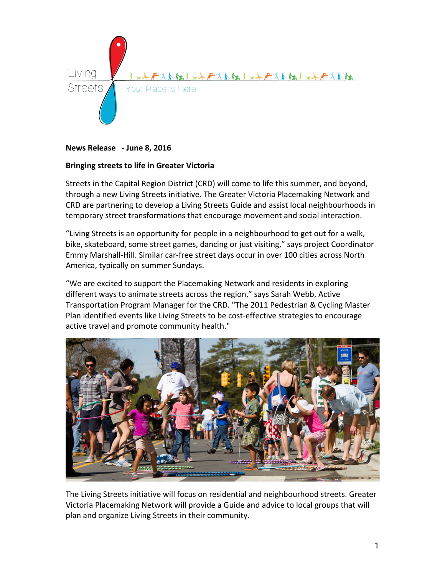

**News Release - June 8, 2016**

## **Bringing streets to life in Greater Victoria**

Streets in the Capital Region District (CRD) will come to life this summer, and beyond, through a new Living Streets initiative. The Greater Victoria Placemaking Network and CRD are partnering to develop a Living Streets Guide and assist local neighbourhoods in temporary street transformations that encourage movement and social interaction.

"Living Streets is an opportunity for people in a neighbourhood to get out for a walk, bike, skateboard, some street games, dancing or just visiting," says project Coordinator Emmy Marshall-Hill. Similar car-free street days occur in over 100 cities across North America, typically on summer Sundays.

"We are excited to support the Placemaking Network and residents in exploring different ways to animate streets across the region," says Sarah Webb, Active Transportation Program Manager for the CRD. "The 2011 Pedestrian & Cycling Master Plan identified events like Living Streets to be cost-effective strategies to encourage active travel and promote community health."



The Living Streets initiative will focus on residential and neighbourhood streets. Greater Victoria Placemaking Network will provide a Guide and advice to local groups that will plan and organize Living Streets in their community.